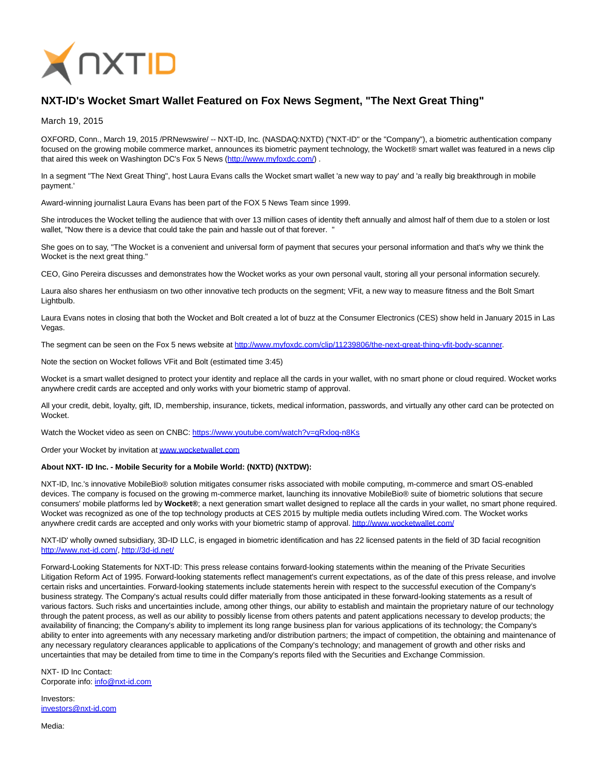

## **NXT-ID's Wocket Smart Wallet Featured on Fox News Segment, "The Next Great Thing"**

March 19, 2015

OXFORD, Conn., March 19, 2015 /PRNewswire/ -- NXT-ID, Inc. (NASDAQ:NXTD) ("NXT-ID" or the "Company"), a biometric authentication company focused on the growing mobile commerce market, announces its biometric payment technology, the Wocket® smart wallet was featured in a news clip that aired this week on Washington DC's Fox 5 News (http://www.myfoxdc.com/).

In a segment "The Next Great Thing", host Laura Evans calls the Wocket smart wallet 'a new way to pay' and 'a really big breakthrough in mobile payment.'

Award-winning journalist Laura Evans has been part of the FOX 5 News Team since 1999.

She introduces the Wocket telling the audience that with over 13 million cases of identity theft annually and almost half of them due to a stolen or lost wallet, "Now there is a device that could take the pain and hassle out of that forever. "

She goes on to say, "The Wocket is a convenient and universal form of payment that secures your personal information and that's why we think the Wocket is the next great thing."

CEO, Gino Pereira discusses and demonstrates how the Wocket works as your own personal vault, storing all your personal information securely.

Laura also shares her enthusiasm on two other innovative tech products on the segment; VFit, a new way to measure fitness and the Bolt Smart Lightbulb.

Laura Evans notes in closing that both the Wocket and Bolt created a lot of buzz at the Consumer Electronics (CES) show held in January 2015 in Las Vegas.

The segment can be seen on the Fox 5 news website at [http://www.myfoxdc.com/clip/11239806/the-next-great-thing-vfit-body-scanner.](http://www.myfoxdc.com/clip/11239806/the-next-great-thing-vfit-body-scanner)

Note the section on Wocket follows VFit and Bolt (estimated time 3:45)

Wocket is a smart wallet designed to protect your identity and replace all the cards in your wallet, with no smart phone or cloud required. Wocket works anywhere credit cards are accepted and only works with your biometric stamp of approval.

All your credit, debit, loyalty, gift, ID, membership, insurance, tickets, medical information, passwords, and virtually any other card can be protected on Wocket.

Watch the Wocket video as seen on CNBC:<https://www.youtube.com/watch?v=qRxloq-n8Ks>

Order your Wocket by invitation a[t www.wocketwallet.com](http://www.wocketwallet.com/)

## **About NXT- ID Inc. - Mobile Security for a Mobile World: (NXTD) (NXTDW):**

NXT-ID, Inc.'s innovative MobileBio® solution mitigates consumer risks associated with mobile computing, m-commerce and smart OS-enabled devices. The company is focused on the growing m-commerce market, launching its innovative MobileBio® suite of biometric solutions that secure consumers' mobile platforms led by **Wocket®**; a next generation smart wallet designed to replace all the cards in your wallet, no smart phone required. Wocket was recognized as one of the top technology products at CES 2015 by multiple media outlets including Wired.com. The Wocket works anywhere credit cards are accepted and only works with your biometric stamp of approval[. http://www.wocketwallet.com/](http://www.wocketwallet.com/)

NXT-ID' wholly owned subsidiary, 3D-ID LLC, is engaged in biometric identification and has 22 licensed patents in the field of 3D facial recognition [http://www.nxt-id.com/,](http://www.nxt-id.com/)<http://3d-id.net/>

Forward-Looking Statements for NXT-ID: This press release contains forward-looking statements within the meaning of the Private Securities Litigation Reform Act of 1995. Forward-looking statements reflect management's current expectations, as of the date of this press release, and involve certain risks and uncertainties. Forward-looking statements include statements herein with respect to the successful execution of the Company's business strategy. The Company's actual results could differ materially from those anticipated in these forward-looking statements as a result of various factors. Such risks and uncertainties include, among other things, our ability to establish and maintain the proprietary nature of our technology through the patent process, as well as our ability to possibly license from others patents and patent applications necessary to develop products; the availability of financing; the Company's ability to implement its long range business plan for various applications of its technology; the Company's ability to enter into agreements with any necessary marketing and/or distribution partners; the impact of competition, the obtaining and maintenance of any necessary regulatory clearances applicable to applications of the Company's technology; and management of growth and other risks and uncertainties that may be detailed from time to time in the Company's reports filed with the Securities and Exchange Commission.

NXT- ID Inc Contact: Corporate info: [info@nxt-id.com](mailto:info@nxt-id.com)

Investors: [investors@nxt-id.com](mailto:investors@nxt-id.com)

Media: